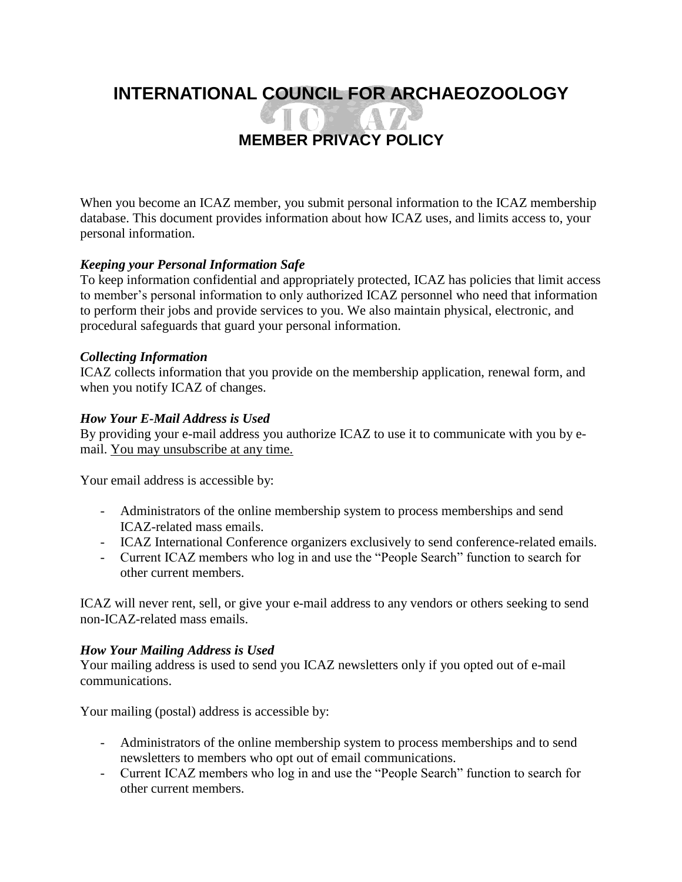# **INTERNATIONAL COUNCIL FOR ARCHAEOZOOLOGY**

# **MEMBER PRIVACY POLICY**

NT YA 72

When you become an ICAZ member, you submit personal information to the ICAZ membership database. This document provides information about how ICAZ uses, and limits access to, your personal information.

## *Keeping your Personal Information Safe*

To keep information confidential and appropriately protected, ICAZ has policies that limit access to member's personal information to only authorized ICAZ personnel who need that information to perform their jobs and provide services to you. We also maintain physical, electronic, and procedural safeguards that guard your personal information.

#### *Collecting Information*

ICAZ collects information that you provide on the membership application, renewal form, and when you notify ICAZ of changes.

#### *How Your E-Mail Address is Used*

By providing your e-mail address you authorize ICAZ to use it to communicate with you by email. You may unsubscribe at any time.

Your email address is accessible by:

- Administrators of the online membership system to process memberships and send ICAZ-related mass emails.
- ICAZ International Conference organizers exclusively to send conference-related emails.
- Current ICAZ members who log in and use the "People Search" function to search for other current members.

ICAZ will never rent, sell, or give your e-mail address to any vendors or others seeking to send non-ICAZ-related mass emails.

### *How Your Mailing Address is Used*

Your mailing address is used to send you ICAZ newsletters only if you opted out of e-mail communications.

Your mailing (postal) address is accessible by:

- Administrators of the online membership system to process memberships and to send newsletters to members who opt out of email communications.
- Current ICAZ members who log in and use the "People Search" function to search for other current members.